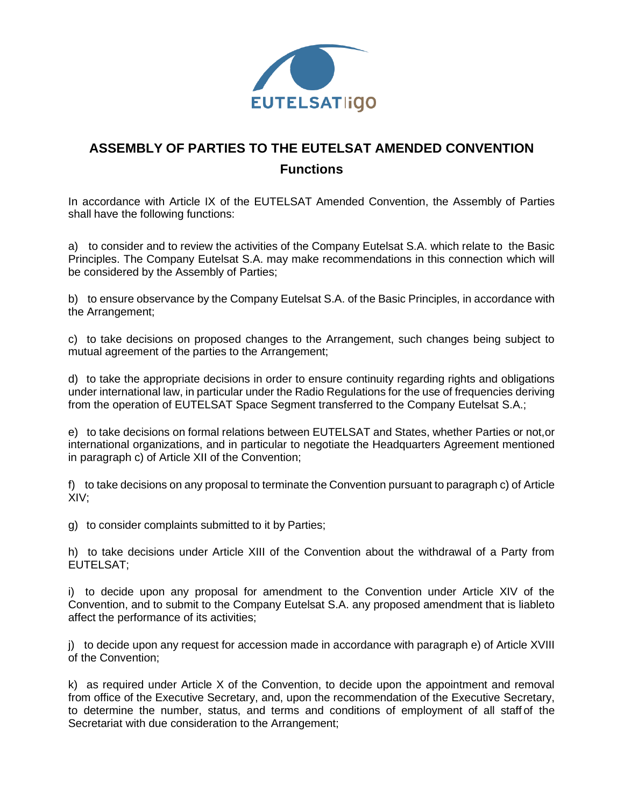

## **ASSEMBLY OF PARTIES TO THE EUTELSAT AMENDED CONVENTION Functions**

In accordance with Article IX of the EUTELSAT Amended Convention, the Assembly of Parties shall have the following functions:

a) to consider and to review the activities of the Company Eutelsat S.A. which relate to the Basic Principles. The Company Eutelsat S.A. may make recommendations in this connection which will be considered by the Assembly of Parties;

b) to ensure observance by the Company Eutelsat S.A. of the Basic Principles, in accordance with the Arrangement;

c) to take decisions on proposed changes to the Arrangement, such changes being subject to mutual agreement of the parties to the Arrangement;

d) to take the appropriate decisions in order to ensure continuity regarding rights and obligations under international law, in particular under the Radio Regulations for the use of frequencies deriving from the operation of EUTELSAT Space Segment transferred to the Company Eutelsat S.A.;

e) to take decisions on formal relations between EUTELSAT and States, whether Parties or not,or international organizations, and in particular to negotiate the Headquarters Agreement mentioned in paragraph c) of Article XII of the Convention;

f) to take decisions on any proposal to terminate the Convention pursuant to paragraph c) of Article XIV;

g) to consider complaints submitted to it by Parties;

h) to take decisions under Article XIII of the Convention about the withdrawal of a Party from EUTELSAT;

i) to decide upon any proposal for amendment to the Convention under Article XIV of the Convention, and to submit to the Company Eutelsat S.A. any proposed amendment that is liableto affect the performance of its activities;

j) to decide upon any request for accession made in accordance with paragraph e) of Article XVIII of the Convention;

k) as required under Article X of the Convention, to decide upon the appointment and removal from office of the Executive Secretary, and, upon the recommendation of the Executive Secretary, to determine the number, status, and terms and conditions of employment of all staff of the Secretariat with due consideration to the Arrangement;